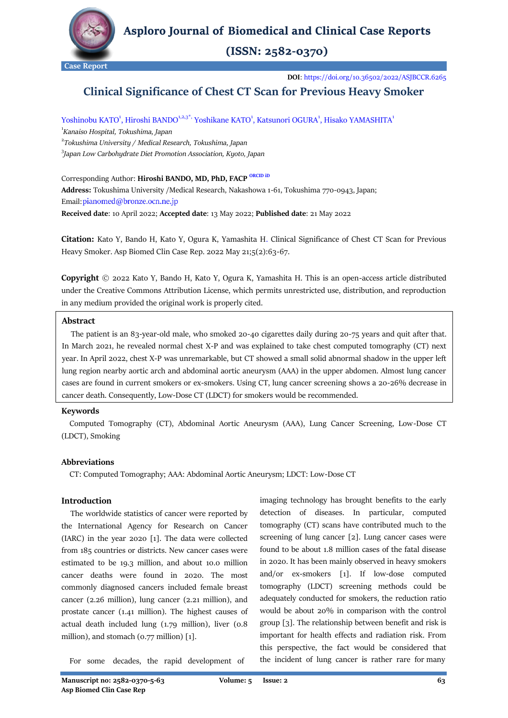

**Asploro Journal of Biomedical and Clinical Case Reports** 

 $(ISSN: 2582-0370)$ 

**Case Report**

**DOI**[: https://doi.org/10.36502/2022/ASJBCCR.6265](https://doi.org/10.36502/2022/ASJBCCR.6265)

# **Clinical Significance of Chest CT Scan for Previous Heavy Smoker**

# Yoshinobu KATO<sup>1</sup>, Hiroshi BANDO<sup>1,2,3\*,</sup> Yoshikane KATO<sup>1</sup>, Katsunori OGURA<sup>1</sup>, Hisako YAMASHITA<sup>1</sup>

1 *[Kanaiso Hospital,](http://www.kanaiso.or.jp/) Tokushima, Japan*  2 *[Tokushima University](https://www.tokushima-u.ac.jp/english/) / Medical Research, Tokushima, Japan* 3 *Japan Low Carbohydrate Diet Promotion Association, Kyoto, Japan*

# Corresponding Author: **Hiroshi BANDO, MD, PhD, FACP** [ORCID iD](https://orcid.org/0000-0002-6304-0224)

**Address:** Tokushima University /Medical Research, Nakashowa 1-61, Tokushima 770-0943, Japan; Email:pianomed@bronze.ocn.ne.jp

**Received date**: 10 April 2022; **Accepted date**: 13 May 2022; **Published date**: 21 May 2022

**Citation:** Kato Y, Bando H, Kato Y, Ogura K, Yamashita H. Clinical Significance of Chest CT Scan for Previous Heavy Smoker. Asp Biomed Clin Case Rep. 2022 May 21;5(2):63-67.

**Copyright** © 2022 Kato Y, Bando H, Kato Y, Ogura K, Yamashita H. This is an open-access article distributed under the Creative Commons Attribution License, which permits unrestricted use, distribution, and reproduction in any medium provided the original work is properly cited.

### **Abstract**

 The patient is an 83-year-old male, who smoked 20-40 cigarettes daily during 20-75 years and quit after that. In March 2021, he revealed normal chest X-P and was explained to take chest computed tomography (CT) next year. In April 2022, chest X-P was unremarkable, but CT showed a small solid abnormal shadow in the upper left lung region nearby aortic arch and abdominal aortic aneurysm (AAA) in the upper abdomen. Almost lung cancer cases are found in current smokers or ex-smokers. Using CT, lung cancer screening shows a 20-26% decrease in cancer death. Consequently, Low-Dose CT (LDCT) for smokers would be recommended.

# **Keywords**

 Computed Tomography (CT), Abdominal Aortic Aneurysm (AAA), Lung Cancer Screening, Low-Dose CT (LDCT), Smoking

#### **Abbreviations**

CT: Computed Tomography; AAA: Abdominal Aortic Aneurysm; LDCT: Low-Dose CT

# **Introduction**

 The worldwide statistics of cancer were reported by the International Agency for Research on Cancer (IARC) in the year 2020 [1]. The data were collected from 185 countries or districts. New cancer cases were estimated to be 19.3 million, and about 10.0 million cancer deaths were found in 2020. The most commonly diagnosed cancers included female breast cancer (2.26 million), lung cancer (2.21 million), and prostate cancer (1.41 million). The highest causes of actual death included lung (1.79 million), liver (0.8 million), and stomach (0.77 million) [1].

imaging technology has brought benefits to the early detection of diseases. In particular, computed tomography (CT) scans have contributed much to the screening of lung cancer [2]. Lung cancer cases were found to be about 1.8 million cases of the fatal disease in 2020. It has been mainly observed in heavy smokers and/or ex-smokers [1]. If low-dose computed tomography (LDCT) screening methods could be adequately conducted for smokers, the reduction ratio would be about 20% in comparison with the control group [3]. The relationship between benefit and risk is important for health effects and radiation risk. From this perspective, the fact would be considered that the incident of lung cancer is rather rare for many

For some decades, the rapid development of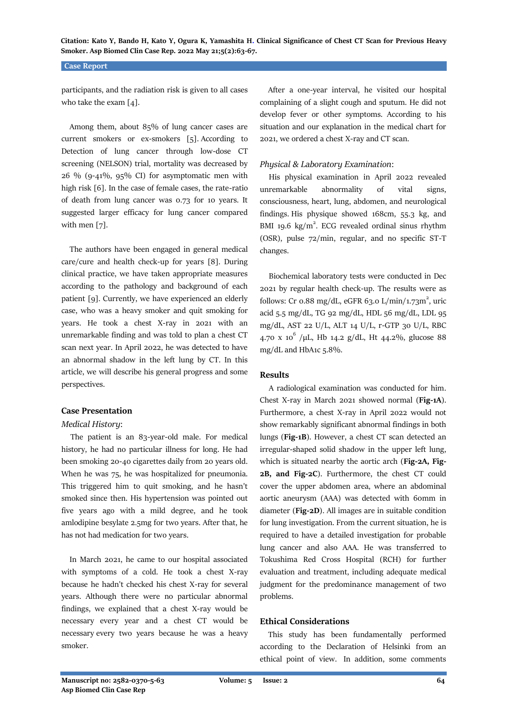### **Case Report**

participants, and the radiation risk is given to all cases who take the exam [4].

 Among them, about 85% of lung cancer cases are current smokers or ex-smokers [5]. According to Detection of lung cancer through low-dose CT screening (NELSON) trial, mortality was decreased by  $26\%$  (9-41%, 95% CI) for asymptomatic men with high risk [6]. In the case of female cases, the rate-ratio of death from lung cancer was 0.73 for 10 years. It suggested larger efficacy for lung cancer compared with men [7].

 The authors have been engaged in general medical care/cure and health check-up for years [8]. During clinical practice, we have taken appropriate measures according to the pathology and background of each patient [9]. Currently, we have experienced an elderly case, who was a heavy smoker and quit smoking for years. He took a chest X-ray in 2021 with an unremarkable finding and was told to plan a chest CT scan next year. In April 2022, he was detected to have an abnormal shadow in the left lung by CT. In this article, we will describe his general progress and some perspectives.

# **Case Presentation**

#### *Medical History*:

 The patient is an 83-year-old male. For medical history, he had no particular illness for long. He had been smoking 20-40 cigarettes daily from 20 years old. When he was 75, he was hospitalized for pneumonia. This triggered him to quit smoking, and he hasn't smoked since then. His hypertension was pointed out five years ago with a mild degree, and he took amlodipine besylate 2.5mg for two years. After that, he has not had medication for two years.

 In March 2021, he came to our hospital associated with symptoms of a cold. He took a chest X-ray because he hadn't checked his chest X-ray for several years. Although there were no particular abnormal findings, we explained that a chest X-ray would be necessary every year and a chest CT would be necessary every two years because he was a heavy smoker.

 After a one-year interval, he visited our hospital complaining of a slight cough and sputum. He did not develop fever or other symptoms. According to his situation and our explanation in the medical chart for 2021, we ordered a chest X-ray and CT scan.

# *Physical & Laboratory Examination*:

 His physical examination in April 2022 revealed unremarkable abnormality of vital signs, consciousness, heart, lung, abdomen, and neurological findings. His physique showed 168cm, 55.3 kg, and BMI 19.6  $\text{kg/m}^2$ . ECG revealed ordinal sinus rhythm (OSR), pulse 72/min, regular, and no specific ST-T changes.

 Biochemical laboratory tests were conducted in Dec 2021 by regular health check-up. The results were as follows: Cr 0.88 mg/dL, eGFR 63.0 L/min/1.73m<sup>2</sup>, uric acid 5.5 mg/dL, TG 92 mg/dL, HDL 56 mg/dL, LDL 95 mg/dL, AST 22 U/L, ALT 14 U/L, r-GTP 30 U/L, RBC 4.70 x 10<sup>6</sup> /µL, Hb 14.2 g/dL, Ht 44.2%, glucose 88 mg/dL and HbA1c 5.8%.

#### **Results**

 A radiological examination was conducted for him. Chest X-ray in March 2021 showed normal (**Fig-1A**). Furthermore, a chest X-ray in April 2022 would not show remarkably significant abnormal findings in both lungs (**Fig-1B**). However, a chest CT scan detected an irregular-shaped solid shadow in the upper left lung, which is situated nearby the aortic arch (**Fig-2A, Fig-2B, and Fig-2C**). Furthermore, the chest CT could cover the upper abdomen area, where an abdominal aortic aneurysm (AAA) was detected with 60mm in diameter (**Fig-2D**). All images are in suitable condition for lung investigation. From the current situation, he is required to have a detailed investigation for probable lung cancer and also AAA. He was transferred to Tokushima Red Cross Hospital (RCH) for further evaluation and treatment, including adequate medical judgment for the predominance management of two problems.

#### **Ethical Considerations**

 This study has been fundamentally performed according to the Declaration of Helsinki from an ethical point of view. In addition, some comments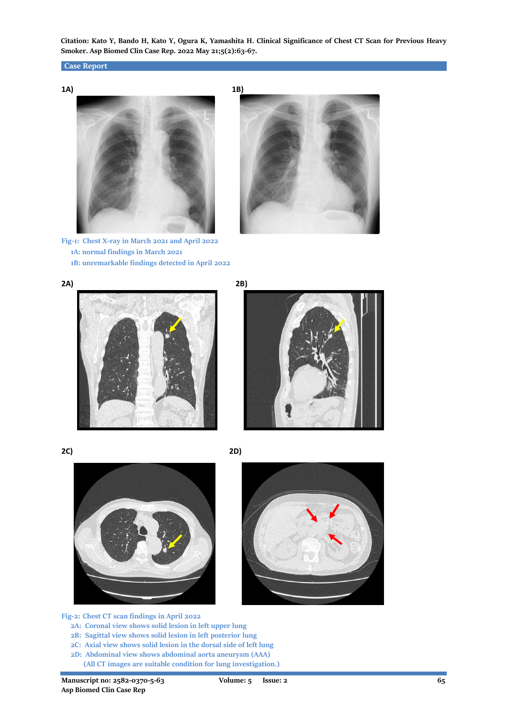# **Case Report**



**Fig-1: Chest X-ray in March 2021 and April 2022 1A: normal findings in March 2021 1B: unremarkable findings detected in April 2022**













**Fig-2: Chest CT scan findings in April 2022**

- **2A: Coronal view shows solid lesion in left upper lung**
- **2B: Sagittal view shows solid lesion in left posterior lung**
- **2C: Axial view shows solid lesion in the dorsal side of left lung**
- **2D: Abdominal view shows abdominal aorta aneurysm (AAA)**
	- **(All CT images are suitable condition for lung investigation.)**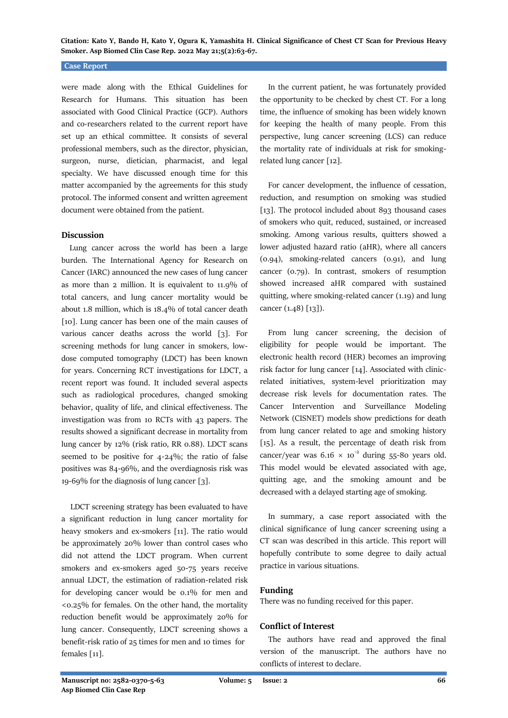#### **Case Report**

were made along with the Ethical Guidelines for Research for Humans. This situation has been associated with Good Clinical Practice (GCP). Authors and co-researchers related to the current report have set up an ethical committee. It consists of several professional members, such as the director, physician, surgeon, nurse, dietician, pharmacist, and legal specialty. We have discussed enough time for this matter accompanied by the agreements for this study protocol. The informed consent and written agreement document were obtained from the patient.

### **Discussion**

 Lung cancer across the world has been a large burden. The International Agency for Research on Cancer (IARC) announced the new cases of lung cancer as more than 2 million. It is equivalent to 11.9% of total cancers, and lung cancer mortality would be about 1.8 million, which is 18.4% of total cancer death [10]. Lung cancer has been one of the main causes of various cancer deaths across the world [3]. For screening methods for lung cancer in smokers, lowdose computed tomography (LDCT) has been known for years. Concerning RCT investigations for LDCT, a recent report was found. It included several aspects such as radiological procedures, changed smoking behavior, quality of life, and clinical effectiveness. The investigation was from 10 RCTs with 43 papers. The results showed a significant decrease in mortality from lung cancer by 12% (risk ratio, RR 0.88). LDCT scans seemed to be positive for 4-24%; the ratio of false positives was 84-96%, and the overdiagnosis risk was 19-69% for the diagnosis of lung cancer [3].

 LDCT screening strategy has been evaluated to have a significant reduction in lung cancer mortality for heavy smokers and ex-smokers [11]. The ratio would be approximately 20% lower than control cases who did not attend the LDCT program. When current smokers and ex-smokers aged 50-75 years receive annual LDCT, the estimation of radiation-related risk for developing cancer would be 0.1% for men and <0.25% for females. On the other hand, the mortality reduction benefit would be approximately 20% for lung cancer. Consequently, LDCT screening shows a benefit-risk ratio of 25 times for men and 10 times for females [11].

 In the current patient, he was fortunately provided the opportunity to be checked by chest CT. For a long time, the influence of smoking has been widely known for keeping the health of many people. From this perspective, lung cancer screening (LCS) can reduce the mortality rate of individuals at risk for smokingrelated lung cancer [12].

 For cancer development, the influence of cessation, reduction, and resumption on smoking was studied [13]. The protocol included about 893 thousand cases of smokers who quit, reduced, sustained, or increased smoking. Among various results, quitters showed a lower adjusted hazard ratio (aHR), where all cancers (0.94), smoking-related cancers (0.91), and lung cancer (0.79). In contrast, smokers of resumption showed increased aHR compared with sustained quitting, where smoking-related cancer (1.19) and lung cancer (1.48) [13]).

 From lung cancer screening, the decision of eligibility for people would be important. The electronic health record (HER) becomes an improving risk factor for lung cancer [14]. Associated with clinicrelated initiatives, system-level prioritization may decrease risk levels for documentation rates. The Cancer Intervention and Surveillance Modeling Network (CISNET) models show predictions for death from lung cancer related to age and smoking history [15]. As a result, the percentage of death risk from cancer/year was  $6.16 \times 10^{-2}$  during 55-80 years old. This model would be elevated associated with age, quitting age, and the smoking amount and be decreased with a delayed starting age of smoking.

 In summary, a case report associated with the clinical significance of lung cancer screening using a CT scan was described in this article. This report will hopefully contribute to some degree to daily actual practice in various situations.

# **Funding**

There was no funding received for this paper.

#### **Conflict of Interest**

 The authors have read and approved the final version of the manuscript. The authors have no conflicts of interest to declare.